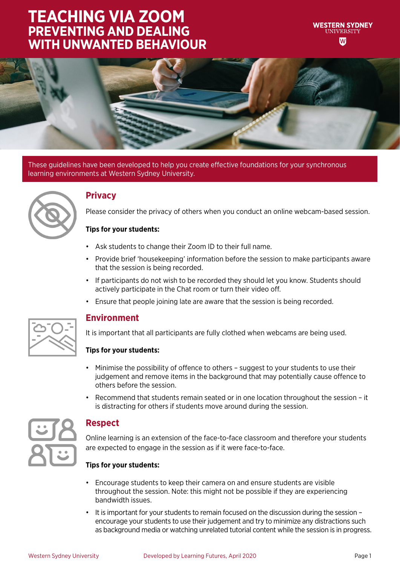### **TEACHING VIA ZOOM PREVENTING AND DEALING WITH UNWANTED BEHAVIOUR**



These guidelines have been developed to help you create effective foundations for your synchronous learning environments at Western Sydney University.



### **Privacy**

Please consider the privacy of others when you conduct an online webcam-based session.

#### **Tips for your students:**

- Ask students to change their Zoom ID to their full name.
- Provide brief 'housekeeping' information before the session to make participants aware that the session is being recorded.
- If participants do not wish to be recorded they should let you know. Students should actively participate in the Chat room or turn their video off.
- Ensure that people joining late are aware that the session is being recorded.



### **Environment**

It is important that all participants are fully clothed when webcams are being used.

#### **Tips for your students:**

- Minimise the possibility of offence to others suggest to your students to use their judgement and remove items in the background that may potentially cause offence to others before the session.
- Recommend that students remain seated or in one location throughout the session it is distracting for others if students move around during the session.



### **Respect**

Online learning is an extension of the face-to-face classroom and therefore your students are expected to engage in the session as if it were face-to-face.

#### **Tips for your students:**

- Encourage students to keep their camera on and ensure students are visible throughout the session. Note: this might not be possible if they are experiencing bandwidth issues.
- It is important for your students to remain focused on the discussion during the session encourage your students to use their judgement and try to minimize any distractions such as background media or watching unrelated tutorial content while the session is in progress.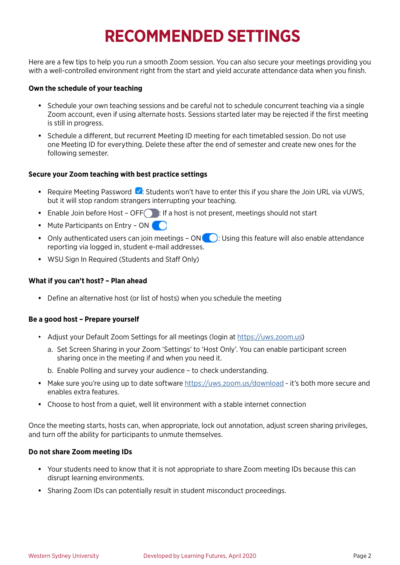# **RECOMMENDED SETTINGS**

Here are a few tips to help you run a smooth Zoom session. You can also secure your meetings providing you with a well-controlled environment right from the start and yield accurate attendance data when you finish.

#### **Own the schedule of your teaching**

- **•** Schedule your own teaching sessions and be careful not to schedule concurrent teaching via a single Zoom account, even if using alternate hosts. Sessions started later may be rejected if the first meeting is still in progress.
- **•** Schedule a different, but recurrent Meeting ID meeting for each timetabled session. Do not use one Meeting ID for everything. Delete these after the end of semester and create new ones for the following semester.

#### **Secure your Zoom teaching with best practice settings**

- Require Meeting Password **V**: Students won't have to enter this if you share the Join URL via vUWS, but it will stop random strangers interrupting your teaching.
- Enable Join before Host OFF : If a host is not present, meetings should not start
- Mute Participants on Entry ON
- Only authenticated users can join meetings ON **Comment System**: Using this feature will also enable attendance reporting via logged in, student e-mail addresses.
- **•** WSU Sign In Required (Students and Staff Only)

#### **What if you can't host? – Plan ahead**

**•** Define an alternative host (or list of hosts) when you schedule the meeting

#### **Be a good host – Prepare yourself**

- Adjust your Default Zoom Settings for all meetings (login at<https://uws.zoom.us>)
	- a. Set Screen Sharing in your Zoom 'Settings' to 'Host Only'. You can enable participant screen sharing once in the meeting if and when you need it.
	- b. Enable Polling and survey your audience to check understanding.
- **•** Make sure you're using up to date software<https://uws.zoom.us/download> it's both more secure and enables extra features.
- **•** Choose to host from a quiet, well lit environment with a stable internet connection

Once the meeting starts, hosts can, when appropriate, lock out annotation, adjust screen sharing privileges, and turn off the ability for participants to unmute themselves.

#### **Do not share Zoom meeting IDs**

- **•** Your students need to know that it is not appropriate to share Zoom meeting IDs because this can disrupt learning environments.
- **•** Sharing Zoom IDs can potentially result in student misconduct proceedings.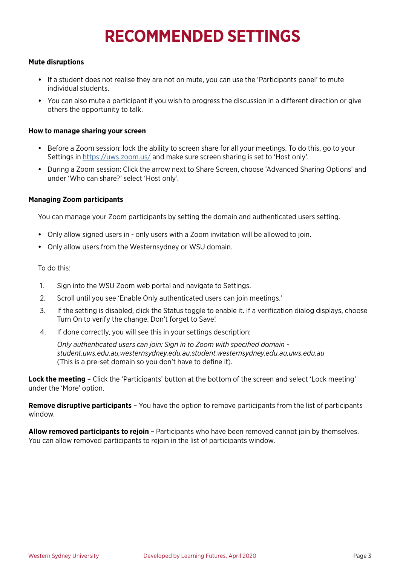## **RECOMMENDED SETTINGS**

#### **Mute disruptions**

- **•** If a student does not realise they are not on mute, you can use the 'Participants panel' to mute individual students.
- **•** You can also mute a participant if you wish to progress the discussion in a different direction or give others the opportunity to talk.

#### **How to manage sharing your screen**

- **•** Before a Zoom session: lock the ability to screen share for all your meetings. To do this, go to your Settings in<https://uws.zoom.us/> and make sure screen sharing is set to 'Host only'.
- **•** During a Zoom session: Click the arrow next to Share Screen, choose 'Advanced Sharing Options' and under 'Who can share?' select 'Host only'.

#### **Managing Zoom participants**

You can manage your Zoom participants by setting the domain and authenticated users setting.

- **•** Only allow signed users in only users with a Zoom invitation will be allowed to join.
- **•** Only allow users from the Westernsydney or WSU domain.

To do this:

- 1. Sign into the WSU Zoom web portal and navigate to Settings.
- 2. Scroll until you see 'Enable Only authenticated users can join meetings.'
- 3. If the setting is disabled, click the Status toggle to enable it. If a verification dialog displays, choose Turn On to verify the change. Don't forget to Save!
- 4. If done correctly, you will see this in your settings description:

*Only authenticated users can join: Sign in to Zoom with specified domain student.uws.edu.au,westernsydney.edu.au,student.westernsydney.edu.au,uws.edu.au*  (This is a pre-set domain so you don't have to define it).

**Lock the meeting** – Click the 'Participants' button at the bottom of the screen and select 'Lock meeting' under the 'More' option.

**Remove disruptive participants** – You have the option to remove participants from the list of participants window.

**Allow removed participants to rejoin** – Participants who have been removed cannot join by themselves. You can allow removed participants to rejoin in the list of participants window.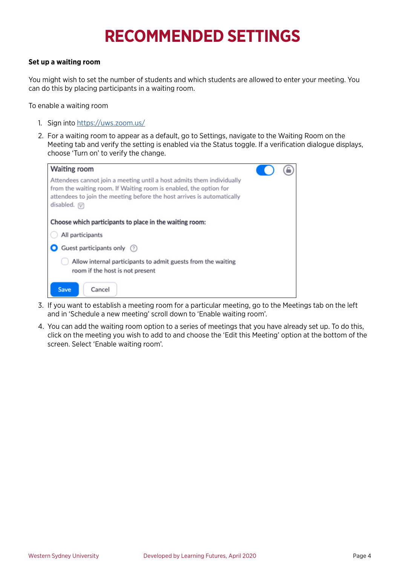# **RECOMMENDED SETTINGS**

#### **Set up a waiting room**

You might wish to set the number of students and which students are allowed to enter your meeting. You can do this by placing participants in a waiting room.

To enable a waiting room

- 1. Sign into <https://uws.zoom.us/>
- 2. For a waiting room to appear as a default, go to Settings, navigate to the Waiting Room on the Meeting tab and verify the setting is enabled via the Status toggle. If a verification dialogue displays, choose 'Turn on' to verify the change.



- 3. If you want to establish a meeting room for a particular meeting, go to the Meetings tab on the left and in 'Schedule a new meeting' scroll down to 'Enable waiting room'.
- 4. You can add the waiting room option to a series of meetings that you have already set up. To do this, click on the meeting you wish to add to and choose the 'Edit this Meeting' option at the bottom of the screen. Select 'Enable waiting room'.